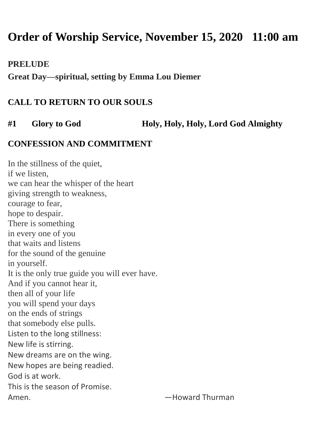# **Order of Worship Service, November 15, 2020 11:00 am**

**PRELUDE**

**Great Day—spiritual, setting by Emma Lou Diemer**

### **CALL TO RETURN TO OUR SOULS**

**#1 Glory to God Holy, Holy, Holy, Lord God Almighty**

#### **CONFESSION AND COMMITMENT**

In the stillness of the quiet, if we listen, we can hear the whisper of the heart giving strength to weakness, courage to fear, hope to despair. There is something in every one of you that waits and listens for the sound of the genuine in yourself. It is the only true guide you will ever have. And if you cannot hear it, then all of your life you will spend your days on the ends of strings that somebody else pulls. Listen to the long stillness: New life is stirring. New dreams are on the wing. New hopes are being readied. God is at work. This is the season of Promise. Amen. **Example 20** and the settlement of the Howard Thurman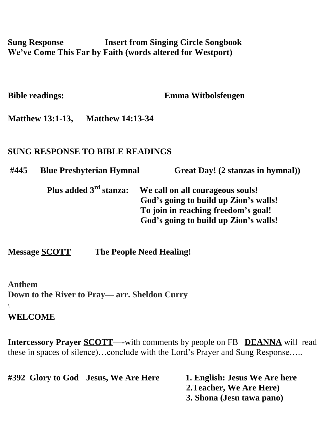**Sung Response Insert from Singing Circle Songbook We've Come This Far by Faith (words altered for Westport)** 

**Bible readings: Emma Witbolsfeugen**

**Matthew 13:1-13, Matthew 14:13-34**

#### **SUNG RESPONSE TO BIBLE READINGS**

**#445 Blue Presbyterian Hymnal Great Day! (2 stanzas in hymnal))**

**Plus added 3**  $\bf{W}$ **e** call on all courageous souls!  **God's going to build up Zion's walls! To join in reaching freedom's goal! God's going to build up Zion's walls!**

**Message SCOTT The People Need Healing!**

**Anthem Down to the River to Pray— arr. Sheldon Curry** \

#### **WELCOME**

**Intercessory Prayer SCOTT—-with comments by people on FB <b>DEANNA** will read these in spaces of silence)…conclude with the Lord's Prayer and Sung Response…..

| #392 Glory to God Jesus, We Are Here | 1. English: Jesus We Are here |
|--------------------------------------|-------------------------------|
|                                      | 2. Teacher, We Are Here)      |
|                                      | 3. Shona (Jesu tawa pano)     |